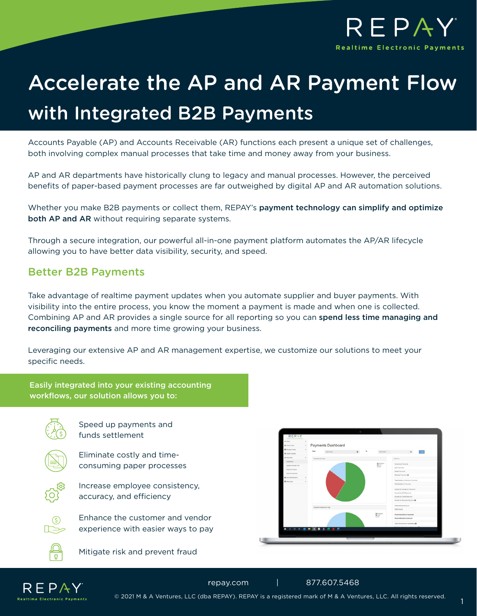

# Accelerate the AP and AR Payment Flow with Integrated B2B Payments

Accounts Payable (AP) and Accounts Receivable (AR) functions each present a unique set of challenges, both involving complex manual processes that take time and money away from your business.

AP and AR departments have historically clung to legacy and manual processes. However, the perceived benefits of paper-based payment processes are far outweighed by digital AP and AR automation solutions.

Whether you make B2B payments or collect them, REPAY's payment technology can simplify and optimize both AP and AR without requiring separate systems.

Through a secure integration, our powerful all-in-one payment platform automates the AP/AR lifecycle allowing you to have better data visibility, security, and speed.

### Better B2B Payments

Take advantage of realtime payment updates when you automate supplier and buyer payments. With visibility into the entire process, you know the moment a payment is made and when one is collected. Combining AP and AR provides a single source for all reporting so you can spend less time managing and reconciling payments and more time growing your business.

Leveraging our extensive AP and AR management expertise, we customize our solutions to meet your specific needs.



© 2021 M & A Ventures, LLC (dba REPAY). REPAY is a registered mark of M & A Ventures, LLC. All rights reserved.